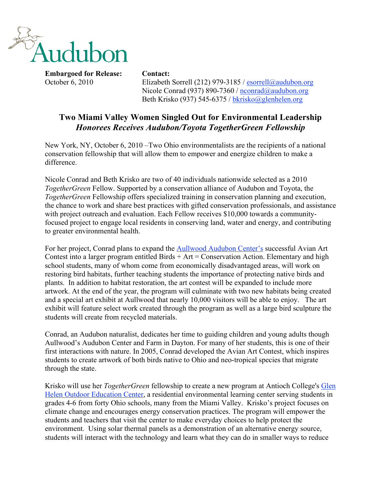

October 6, 2010 Elizabeth Sorrell (212) 979-3185 / esorrell@audubon.org Nicole Conrad (937) 890-7360 / nconrad@audubon.org Beth Krisko (937) 545-6375 / bkrisko@glenhelen.org

## **Two Miami Valley Women Singled Out for Environmental Leadership** *Honorees Receives Audubon/Toyota TogetherGreen Fellowship*

New York, NY, October 6, 2010 –Two Ohio environmentalists are the recipients of a national conservation fellowship that will allow them to empower and energize children to make a difference.

Nicole Conrad and Beth Krisko are two of 40 individuals nationwide selected as a 2010 *TogetherGreen* Fellow. Supported by a conservation alliance of Audubon and Toyota, the *TogetherGreen* Fellowship offers specialized training in conservation planning and execution, the chance to work and share best practices with gifted conservation professionals, and assistance with project outreach and evaluation. Each Fellow receives \$10,000 towards a communityfocused project to engage local residents in conserving land, water and energy, and contributing to greater environmental health.

For her project, Conrad plans to expand the Aullwood Audubon Center's successful Avian Art Contest into a larger program entitled Birds  $+$  Art  $=$  Conservation Action. Elementary and high school students, many of whom come from economically disadvantaged areas, will work on restoring bird habitats, further teaching students the importance of protecting native birds and plants. In addition to habitat restoration, the art contest will be expanded to include more artwork. At the end of the year, the program will culminate with two new habitats being created and a special art exhibit at Aullwood that nearly 10,000 visitors will be able to enjoy. The art exhibit will feature select work created through the program as well as a large bird sculpture the students will create from recycled materials.

Conrad, an Audubon naturalist, dedicates her time to guiding children and young adults though Aullwood's Audubon Center and Farm in Dayton. For many of her students, this is one of their first interactions with nature. In 2005, Conrad developed the Avian Art Contest, which inspires students to create artwork of both birds native to Ohio and neo-tropical species that migrate through the state.

Krisko will use her *TogetherGreen* fellowship to create a new program at Antioch College's Glen Helen Outdoor Education Center, a residential environmental learning center serving students in grades 4-6 from forty Ohio schools, many from the Miami Valley. Krisko's project focuses on climate change and encourages energy conservation practices. The program will empower the students and teachers that visit the center to make everyday choices to help protect the environment. Using solar thermal panels as a demonstration of an alternative energy source, students will interact with the technology and learn what they can do in smaller ways to reduce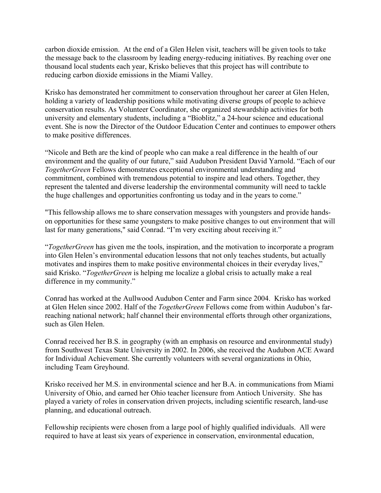carbon dioxide emission. At the end of a Glen Helen visit, teachers will be given tools to take the message back to the classroom by leading energy-reducing initiatives. By reaching over one thousand local students each year, Krisko believes that this project has will contribute to reducing carbon dioxide emissions in the Miami Valley.

Krisko has demonstrated her commitment to conservation throughout her career at Glen Helen, holding a variety of leadership positions while motivating diverse groups of people to achieve conservation results. As Volunteer Coordinator, she organized stewardship activities for both university and elementary students, including a "Bioblitz," a 24-hour science and educational event. She is now the Director of the Outdoor Education Center and continues to empower others to make positive differences.

"Nicole and Beth are the kind of people who can make a real difference in the health of our environment and the quality of our future," said Audubon President David Yarnold. "Each of our *TogetherGreen* Fellows demonstrates exceptional environmental understanding and commitment, combined with tremendous potential to inspire and lead others. Together, they represent the talented and diverse leadership the environmental community will need to tackle the huge challenges and opportunities confronting us today and in the years to come."

"This fellowship allows me to share conservation messages with youngsters and provide handson opportunities for these same youngsters to make positive changes to out environment that will last for many generations," said Conrad. "I'm very exciting about receiving it."

"*TogetherGreen* has given me the tools, inspiration, and the motivation to incorporate a program into Glen Helen's environmental education lessons that not only teaches students, but actually motivates and inspires them to make positive environmental choices in their everyday lives," said Krisko. "*TogetherGreen* is helping me localize a global crisis to actually make a real difference in my community."

Conrad has worked at the Aullwood Audubon Center and Farm since 2004. Krisko has worked at Glen Helen since 2002. Half of the *TogetherGreen* Fellows come from within Audubon's farreaching national network; half channel their environmental efforts through other organizations, such as Glen Helen.

Conrad received her B.S. in geography (with an emphasis on resource and environmental study) from Southwest Texas State University in 2002. In 2006, she received the Audubon ACE Award for Individual Achievement. She currently volunteers with several organizations in Ohio, including Team Greyhound.

Krisko received her M.S. in environmental science and her B.A. in communications from Miami University of Ohio, and earned her Ohio teacher licensure from Antioch University. She has played a variety of roles in conservation driven projects, including scientific research, land-use planning, and educational outreach.

Fellowship recipients were chosen from a large pool of highly qualified individuals. All were required to have at least six years of experience in conservation, environmental education,